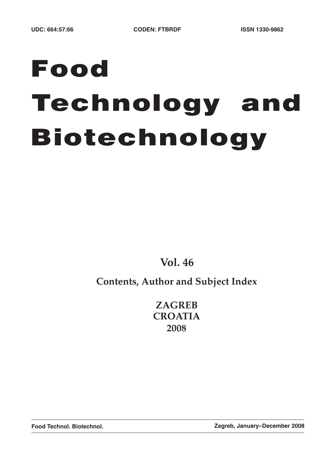# **Food Technology and Biotechnology**

**Vol. 46**

# **Contents, Author and Subject Index**

**ZAGREB CROATIA 2008**

**Food Technol. Biotechnol. Zagreb, January–December 2008**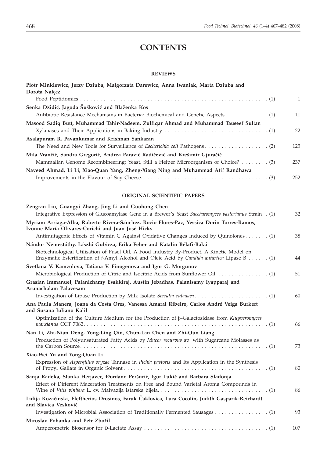# **CONTENTS**

# **REVIEWS**

| Piotr Minkiewicz, Jerzy Dziuba, Małgorzata Darewicz, Anna Iwaniak, Marta Dziuba and<br>Dorota Nałęcz                                                                |              |
|---------------------------------------------------------------------------------------------------------------------------------------------------------------------|--------------|
|                                                                                                                                                                     | $\mathbf{1}$ |
| Senka Džidić, Jagoda Šušković and Blaženka Kos                                                                                                                      |              |
| Antibiotic Resistance Mechanisms in Bacteria: Biochemical and Genetic Aspects (1)                                                                                   | 11           |
| Masood Sadiq Butt, Muhammad Tahir-Nadeem, Zulfiqar Ahmad and Muhammad Tauseef Sultan                                                                                |              |
|                                                                                                                                                                     | 22           |
| Asalapuram R. Pavankumar and Krishnan Sankaran                                                                                                                      |              |
|                                                                                                                                                                     | 125          |
| Mila Vrančić, Sandra Gregorić, Andrea Paravić Radičević and Krešimir Gjuračić                                                                                       |              |
| Mammalian Genome Recombineering: Yeast, Still a Helper Microorganism of Choice? (3)                                                                                 | 237          |
| Naveed Ahmad, Li Li, Xiao-Quan Yang, Zheng-Xiang Ning and Muhammad Atif Randhawa                                                                                    | 252          |
|                                                                                                                                                                     |              |
| ORIGINAL SCIENTIFIC PAPERS                                                                                                                                          |              |
| Zengran Liu, Guangyi Zhang, Jing Li and Guohong Chen                                                                                                                |              |
| Integrative Expression of Glucoamylase Gene in a Brewer's Yeast Saccharomyces pastorianus Strain. . (1)                                                             | 32           |
| Myriam Arriaga-Alba, Roberto Rivera-Sánchez, Rocio Flores-Paz, Yessica Dorin Torres-Ramos,                                                                          |              |
| Ivonne María Olivares-Corichi and Juan José Hicks                                                                                                                   |              |
| Antimutagenic Effects of Vitamin C Against Oxidative Changes Induced by Quinolones (1)                                                                              | 38           |
| Nándor Nemestóthy, László Gubicza, Erika Fehér and Katalin Bélafi-Bakó<br>Biotechnological Utilisation of Fusel Oil, A Food Industry By-Product. A Kinetic Model on |              |
| Enzymatic Esterification of <i>i</i> -Amyl Alcohol and Oleic Acid by <i>Candida antartica</i> Lipase B (1)                                                          | 44           |
| Svetlana V. Kamzolova, Tatiana V. Finogenova and Igor G. Morgunov                                                                                                   |              |
|                                                                                                                                                                     | 51           |
| Grasian Immanuel, Palanichamy Esakkiraj, Austin Jebadhas, Palanisamy Iyapparaj and                                                                                  |              |
| Arunachalam Palavesam                                                                                                                                               |              |
|                                                                                                                                                                     | 60           |
| Ana Paula Manera, Joana da Costa Ores, Vanessa Amaral Ribeiro, Carlos André Veiga Burkert<br>and Susana Juliano Kalil                                               |              |
| Optimization of the Culture Medium for the Production of $\beta$ -Galactosidase from Kluyveromyces                                                                  |              |
|                                                                                                                                                                     | 66           |
| Nan Li, Zhi-Nian Deng, Yong-Ling Qin, Chun-Lan Chen and Zhi-Qun Liang                                                                                               |              |
| Production of Polyunsaturated Fatty Acids by Mucor recurvus sp. with Sugarcane Molasses as                                                                          |              |
|                                                                                                                                                                     | 73           |
| Xiao-Wei Yu and Yong-Quan Li                                                                                                                                        |              |
| Expression of Aspergillus oryzae Tannase in Pichia pastoris and Its Application in the Synthesis                                                                    | 80           |
|                                                                                                                                                                     |              |
| Sanja Radeka, Stanka Herjavec, Đordano Peršurić, Igor Lukić and Barbara Sladonja                                                                                    |              |
| Effect of Different Maceration Treatments on Free and Bound Varietal Aroma Compounds in                                                                             | 86           |
| Lidija Kozačinski, Eleftherios Drosinos, Faruk Čaklovica, Luca Cocolin, Judith Gasparik-Reichardt                                                                   |              |
| and Slavica Vesković                                                                                                                                                |              |
|                                                                                                                                                                     | 93           |
| Miroslav Pohanka and Petr Zbořil                                                                                                                                    |              |
|                                                                                                                                                                     | 107          |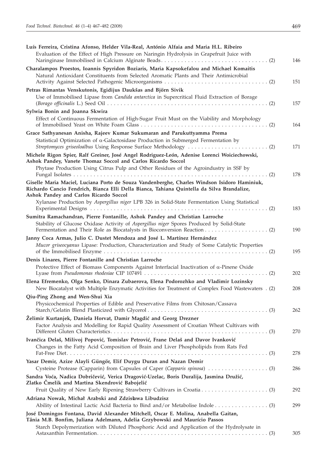| Luís Ferreira, Cristina Afonso, Helder Vila-Real, António Alfaia and Maria H.L. Ribeiro<br>Evaluation of the Effect of High Pressure on Naringin Hydrolysis in Grapefruit Juice with        | 146 |
|---------------------------------------------------------------------------------------------------------------------------------------------------------------------------------------------|-----|
| Charalampos Proestos, Ioannis Spyridon Boziaris, Maria Kapsokefalou and Michael Komaitis<br>Natural Antioxidant Constituents from Selected Aromatic Plants and Their Antimicrobial          | 151 |
| Petras Rimantas Venskutonis, Egidijus Daukšas and Björn Sivik<br>Use of Immobilised Lipase from <i>Candida antarctica</i> in Supercritical Fluid Extraction of Borage                       | 157 |
| Sylwia Bonin and Joanna Skwira<br>Effect of Continuous Fermentation of High-Sugar Fruit Must on the Viability and Morphology                                                                | 164 |
| Grace Sathyanesan Anisha, Rajeev Kumar Sukumaran and Parukuttyamma Prema                                                                                                                    |     |
| Statistical Optimization of $\alpha$ -Galactosidase Production in Submerged Fermentation by                                                                                                 | 171 |
| Michele Rigon Spier, Ralf Greiner, José Angel Rodriguez-León, Adenise Lorenci Woiciechowski,<br>Ashok Pandey, Vanete Thomaz Soccol and Carlos Ricardo Soccol                                |     |
| Phytase Production Using Citrus Pulp and Other Residues of the Agroindustry in SSF by                                                                                                       | 178 |
| Giselle Maria Maciel, Luciana Porto de Souza Vandenberghe, Charles Windson Isidoro Haminiuk,<br>Richardo Cancio Fendrich, Bianca Elli Della Bianca, Tahiana Quintella da Silva Brandalize,  |     |
| Ashok Pandey and Carlos Ricardo Soccol<br>Xylanase Production by Aspergillus niger LPB 326 in Solid-State Fermentation Using Statistical                                                    | 183 |
| Sumitra Ramachandran, Pierre Fontanille, Ashok Pandey and Christian Larroche<br>Stability of Glucose Oxidase Activity of Aspergillus niger Spores Produced by Solid-State                   |     |
|                                                                                                                                                                                             | 190 |
| Janny Coca Armas, Julio C. Dustet Mendoza and José L. Martínez Hernández<br>Mucor griseocyanus Lipase: Production, Characterization and Study of Some Catalytic Properties                  | 195 |
| Denis Linares, Pierre Fontanille and Christian Larroche                                                                                                                                     |     |
| Protective Effect of Biomass Components Against Interfacial Inactivation of $\alpha$ -Pinene Oxide                                                                                          | 202 |
| Elena Efremenko, Olga Senko, Dinara Zubaerova, Elena Podorozhko and Vladimir Lozinsky<br>New Biocatalyst with Multiple Enzymatic Activities for Treatment of Complex Food Wastewaters . (2) | 208 |
| Qiu-Ping Zhong and Wen-Shui Xia<br>Physicochemical Properties of Edible and Preservative Films from Chitosan/Cassava                                                                        | 262 |
| Želimir Kurtanjek, Daniela Horvat, Damir Magdić and Georg Drezner<br>Factor Analysis and Modelling for Rapid Quality Assessment of Croatian Wheat Cultivars with                            |     |
| Ivančica Delaš, Milivoj Popović, Tomislav Petrović, Frane Delaš and Davor Ivanković                                                                                                         | 270 |
| Changes in the Fatty Acid Composition of Brain and Liver Phospholipids from Rats Fed                                                                                                        | 278 |
| Yasar Demir, Azize Alayli Güngör, Elif Duygu Duran and Nazan Demir                                                                                                                          | 286 |
| Sandra Voća, Nadica Dobričević, Verica Dragović-Uzelac, Boris Duralija, Jasmina Družić,<br>Zlatko Čmelik and Martina Skendrović Babojelić                                                   | 292 |
| Adriana Nowak, Michał Arabski and Zdzisława Libudzisz                                                                                                                                       |     |
| Ability of Intestinal Lactic Acid Bacteria to Bind and/or Metabolise Indole (3)                                                                                                             | 299 |
| José Domingos Fontana, David Alexander Mitchell, Oscar E. Molina, Anabella Gaitan,<br>Tânia M.B. Bonfim, Juliana Adelmann, Adelia Grzybowski and Maurício Passos                            |     |
| Starch Depolymerization with Diluted Phosphoric Acid and Application of the Hydrolysate in                                                                                                  | 305 |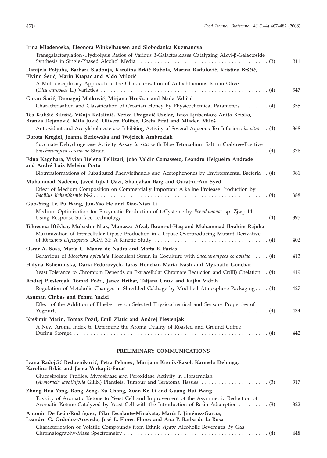| Irina Mladenoska, Eleonora Winkelhausen and Slobodanka Kuzmanova                                                                                                                                                                                                                       |     |
|----------------------------------------------------------------------------------------------------------------------------------------------------------------------------------------------------------------------------------------------------------------------------------------|-----|
| Transgalactosylation/Hydrolysis Ratios of Various ß-Galactosidases Catalyzing Alkyl-ß-Galactoside                                                                                                                                                                                      | 311 |
| Danijela Poljuha, Barbara Sladonja, Karolina Brkić Bubola, Marina Radulović, Kristina Brščić,<br>Elvino Šetić, Marin Krapac and Aldo Milotić                                                                                                                                           |     |
| A Multidisciplinary Approach to the Characterisation of Autochthonous Istrian Olive                                                                                                                                                                                                    | 347 |
| Goran Šarić, Domagoj Matković, Mirjana Hruškar and Nada Vahčić<br>Characterisation and Classification of Croatian Honey by Physicochemical Parameters (4)                                                                                                                              | 355 |
| Tea Kulišić-Bilušić, Višnja Katalinić, Verica Dragović-Uzelac, Ivica Ljubenkov, Anita Kriško,<br>Branka Dejanović, Mila Jukić, Olivera Politeo, Greta Pifat and Mladen Miloš<br>Antioxidant and Acetylcholinesterase Inhibiting Activity of Several Aqueous Tea Infusions in vitro (4) | 368 |
| Dorota Kregiel, Joanna Berlowska and Wojciech Ambroziak                                                                                                                                                                                                                                |     |
| Succinate Dehydrogenase Activity Assay in situ with Blue Tetrazolium Salt in Crabtree-Positive                                                                                                                                                                                         | 376 |
| Edna Kagohara, Vivian Helena Pellizari, João Valdir Comasseto, Leandro Helgueira Andrade<br>and André Luiz Meleiro Porto                                                                                                                                                               |     |
| Biotransformations of Substituted Phenylethanols and Acetophenones by Environmental Bacteria (4)                                                                                                                                                                                       | 381 |
| Muhammad Nadeem, Javed Iqbal Qazi, Shahjahan Baig and Qurat-ul-Ain Syed<br>Effect of Medium Composition on Commercially Important Alkaline Protease Production by                                                                                                                      | 388 |
| Guo-Ying Lv, Pu Wang, Jun-Yao He and Xiao-Nian Li                                                                                                                                                                                                                                      |     |
| Medium Optimization for Enzymatic Production of L-Cysteine by Pseudomonas sp. Zjwp-14                                                                                                                                                                                                  | 395 |
| Tehreema Iftikhar, Mubashir Niaz, Munazza Afzal, Ikram-ul-Haq and Muhammad Ibrahim Rajoka<br>Maximization of Intracellular Lipase Production in a Lipase-Overproducing Mutant Derivative                                                                                               | 402 |
| Oscar A. Sosa, María C. Manca de Nadra and Marta E. Farías                                                                                                                                                                                                                             |     |
| Behaviour of Kloeckera apiculata Flocculent Strain in Coculture with Saccharomyces cerevisiae (4)                                                                                                                                                                                      | 413 |
| Halyna Ksheminska, Daria Fedorovych, Taras Honchar, Maria Ivash and Mykhailo Gonchar<br>Yeast Tolerance to Chromium Depends on Extracellular Chromate Reduction and Cr(III) Chelation (4)                                                                                              | 419 |
| Andrej Plestenjak, Tomaž Požrl, Janez Hribar, Tatjana Unuk and Rajko Vidrih                                                                                                                                                                                                            |     |
| Regulation of Metabolic Changes in Shredded Cabbage by Modified Atmosphere Packaging (4)                                                                                                                                                                                               | 427 |
| Asuman Cinbas and Fehmi Yazici                                                                                                                                                                                                                                                         |     |
| Effect of the Addition of Blueberries on Selected Physicochemical and Sensory Properties of                                                                                                                                                                                            | 434 |
| Krešimir Marin, Tomaž Požrl, Emil Zlatić and Andrej Plestenjak                                                                                                                                                                                                                         |     |
| A New Aroma Index to Determine the Aroma Quality of Roasted and Ground Coffee                                                                                                                                                                                                          | 442 |
| PRELIMINARY COMMUNICATIONS                                                                                                                                                                                                                                                             |     |

| Ivana Radojčić Redovniković, Petra Peharec, Marijana Krsnik-Rasol, Karmela Delonga,                                                                                              |     |
|----------------------------------------------------------------------------------------------------------------------------------------------------------------------------------|-----|
| Karolina Brkić and Jasna Vorkapić-Furač                                                                                                                                          |     |
| Glucosinolate Profiles, Myrosinase and Peroxidase Activity in Horseradish                                                                                                        | 317 |
| Zhong-Hua Yang, Rong Zeng, Xu Chang, Xuan-Ke Li and Guang-Hui Wang                                                                                                               |     |
| Toxicity of Aromatic Ketone to Yeast Cell and Improvement of the Asymmetric Reduction of<br>Aromatic Ketone Catalyzed by Yeast Cell with the Introduction of Resin Adsorption 3) | 322 |
| Antonio De León-Rodríguez, Pilar Escalante-Minakata, María I. Jiménez-García,<br>Leandro G. Ordoñez-Acevedo, José L. Flores Flores and Ana P. Barba de la Rosa                   |     |
| Characterization of Volatile Compounds from Ethnic Agave Alcoholic Beverages By Gas                                                                                              | 448 |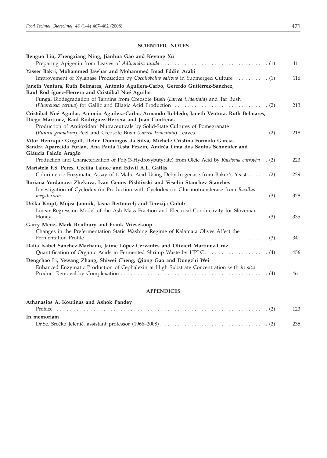# **SCIENTIFIC NOTES**

| Benguo Liu, Zhengxiang Ning, Jianhua Gao and Keyong Xu                                                                                                                                                                                         | 111 |
|------------------------------------------------------------------------------------------------------------------------------------------------------------------------------------------------------------------------------------------------|-----|
| Yasser Bakri, Mohammed Jawhar and Mohammed Imad Eddin Arabi<br>Improvement of Xylanase Production by Cochliobolus sativus in Submerged Culture (1)                                                                                             | 116 |
| Janeth Ventura, Ruth Belmares, Antonio Aguilera-Carbo, Gererdo Gutiérrez-Sanchez,<br>Raul Rodríguez-Herrera and Cristóbal Noé Aguilar                                                                                                          |     |
| Fungal Biodegradation of Tannins from Creosote Bush (Larrea tridentata) and Tar Bush                                                                                                                                                           | 213 |
| Cristóbal Noé Aguilar, Antonio Aguilera-Carbo, Armando Robledo, Janeth Ventura, Ruth Belmares,<br>Diego Martinez, Raul Rodríguez-Herrera and Juan Contreras<br>Production of Antioxidant Nutraceuticals by Solid-State Cultures of Pomegranate |     |
|                                                                                                                                                                                                                                                | 218 |
| Vitor Henrique Grigull, Delne Domingos da Silva, Michele Cristina Formolo Garcia,<br>Sandra Aparecida Furlan, Ana Paula Testa Pezzin, Andréa Lima dos Santos Schneider and<br>Gláucia Falcão Aragão                                            |     |
| Production and Characterization of Poly(3-Hydroxybutyrate) from Oleic Acid by Ralstonia eutropha (2)                                                                                                                                           | 223 |
| Maristela F.S. Peres, Cecilia Laluce and Edwil A.L. Gattás<br>Colorimetric Enzymatic Assay of L-Malic Acid Using Dehydrogenase from Baker's Yeast (2)                                                                                          | 229 |
| Boriana Yordanova Zhekova, Ivan Genov Pishtiyski and Veselin Stanchev Stanchev<br>Investigation of Cyclodextrin Production with Cyclodextrin Glucanotransferase from Bacillus                                                                  | 328 |
| Urška Kropf, Mojca Jamnik, Jasna Bertoncelj and Terezija Golob                                                                                                                                                                                 |     |
| Linear Regression Model of the Ash Mass Fraction and Electrical Conductivity for Slovenian                                                                                                                                                     | 335 |
| Garry Menz, Mark Bradbury and Frank Vriesekoop<br>Changes in the Prefermentation Static Washing Regime of Kalamata Olives Affect the                                                                                                           | 341 |
| Dalia Isabel Sánchez-Machado, Jaime López-Cervantes and Oliviert Martínez-Cruz                                                                                                                                                                 | 456 |
| Dengchao Li, Yewang Zhang, Shiwei Cheng, Qiong Gao and Dongzhi Wei                                                                                                                                                                             |     |
| Enhanced Enzymatic Production of Cephalexin at High Substrate Concentration with in situ                                                                                                                                                       | 461 |

# **APPENDICES**

| Athanasios A. Koutinas and Ashok Pandey |       |
|-----------------------------------------|-------|
|                                         |       |
| In memoriam                             |       |
|                                         | - 235 |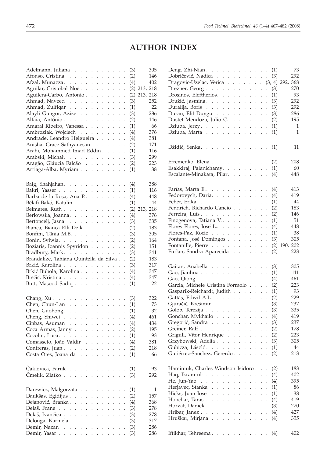# **AUTHOR INDEX**

| Adelmann, Juliana                                                                                                                                                                                                    | 305<br>(3)               |
|----------------------------------------------------------------------------------------------------------------------------------------------------------------------------------------------------------------------|--------------------------|
| Afonso, Cristina                                                                                                                                                                                                     | 146<br>(2)               |
| Afzal, Munazza.                                                                                                                                                                                                      | (4)<br>402               |
| Aguilar, Cristóbal Noé.                                                                                                                                                                                              | $(2)$ 213, 218           |
| Aguilera-Carbo, Antonio                                                                                                                                                                                              | $(2)$ 213, 218           |
| Ahmad, Naveed                                                                                                                                                                                                        | 252<br>(3)               |
| Ahmad, Zulfiqar                                                                                                                                                                                                      | 22<br>(1)                |
| Alayli Güngör, Azize                                                                                                                                                                                                 | (3)<br>286               |
| Alfaia, António                                                                                                                                                                                                      | 146<br>(2)               |
| Amaral Ribeiro, Vanessa                                                                                                                                                                                              | 66<br>(1)                |
| $\ddot{\phantom{0}}$<br>Ambroziak, Wojciech                                                                                                                                                                          | 376                      |
| $\ddot{\phantom{0}}$                                                                                                                                                                                                 | (4)<br>381               |
| Andrade, Leandro Helgueira<br>$\ddot{\phantom{0}}$                                                                                                                                                                   | (4)                      |
| Anisha, Grace Sathyanesan<br>$\ddot{\phantom{0}}$                                                                                                                                                                    | 171<br>(2)               |
| Arabi, Mohammed Imad Eddin                                                                                                                                                                                           | (1)<br>116               |
| Arabski, Michał.                                                                                                                                                                                                     | (3)<br>299               |
| Aragão, Gláucia Falcão                                                                                                                                                                                               | 223<br>(2)               |
| Arriaga-Alba, Myriam                                                                                                                                                                                                 | (1)<br>38                |
|                                                                                                                                                                                                                      |                          |
| Baig, Shahjahan.                                                                                                                                                                                                     | 388<br>(4)               |
| Bakri, Yasser                                                                                                                                                                                                        | (1)<br>116               |
| Barba de la Rosa, Ana P.                                                                                                                                                                                             | (4)<br>448               |
| Bélafi-Bakó, Katalin                                                                                                                                                                                                 | 44<br>(1)                |
| Belmares, Ruth                                                                                                                                                                                                       | $(2)$ 213, 218           |
| Berlowska, Joanna.                                                                                                                                                                                                   | 376                      |
| $\ddot{\phantom{0}}$                                                                                                                                                                                                 | (4)                      |
| Bertoncelj, Jasna<br>$\mathcal{A}$ , and $\mathcal{A}$ , and $\mathcal{A}$ , and $\mathcal{A}$ , and $\mathcal{A}$<br>$\ddot{\phantom{a}}$                                                                           | 335<br>(3)               |
| Bianca, Bianca Elli Della<br>$\ddot{\phantom{0}}$                                                                                                                                                                    | (2)<br>183               |
| Bonfim, Tânia M.B.<br>$\ddot{\phantom{0}}$                                                                                                                                                                           | (3)<br>305               |
| Bonin, Sylwia.<br>$\ddot{\phantom{0}}$                                                                                                                                                                               | (2)<br>164               |
| Boziaris, Ioannis Spyridon<br>$\ddot{\phantom{0}}$                                                                                                                                                                   | 151<br>(2)               |
|                                                                                                                                                                                                                      |                          |
| Bradbury, Mark.                                                                                                                                                                                                      | (3)<br>341               |
| Brandalize, Tahiana Quintella da Silva                                                                                                                                                                               | (2)<br>183               |
|                                                                                                                                                                                                                      | 317                      |
| Brkić, Karolina                                                                                                                                                                                                      | (3)<br>347               |
| Brkić Bubola, Karolina                                                                                                                                                                                               | (4)<br>347               |
| Brščić, Kristina                                                                                                                                                                                                     | (4)                      |
| Butt, Masood Sadiq                                                                                                                                                                                                   | 22<br>(1)                |
|                                                                                                                                                                                                                      |                          |
| Chang, $Xu \cdot \cdot \cdot \cdot \cdot \cdot \cdot \cdot \cdot \cdot \cdot \cdot \cdot$                                                                                                                            | 322<br>(3)               |
| Chen, Chun-Lan                                                                                                                                                                                                       | 73<br>(1)                |
| Chen, Guohong. $\ldots$ . $\ldots$ . $\ldots$ .                                                                                                                                                                      | 32<br>(1)                |
| Cheng, Shiwei                                                                                                                                                                                                        | 461<br>(4)               |
| $\ddot{\phantom{0}}$                                                                                                                                                                                                 | 434<br>(4)               |
| Cinbas, Asuman $\ldots$ $\ldots$ $\ldots$<br>Coca Armas, Janny                                                                                                                                                       | 195<br>(2)               |
| Cocolin, Luca.<br>$\ddot{\phantom{a}}$<br>$\mathbb{Z}^{\mathbb{Z}^2}$<br>$\ddot{\phantom{a}}$<br>$\mathbf{r}$<br>$\ddot{\phantom{a}}$<br>$\ddot{\phantom{a}}$<br>$\ddot{\phantom{0}}$<br>$\ddot{\phantom{a}}$        | 93<br>(1)                |
|                                                                                                                                                                                                                      | 381                      |
| Comasseto, João Valdir<br>$\sim$ $\sim$<br>$\ddot{\phantom{0}}$<br>$\ddot{\phantom{0}}$                                                                                                                              | (4)                      |
| Contreras, Juan<br>$\sim$ $\sim$<br>$\sim$<br>$\ddot{\phantom{0}}$                                                                                                                                                   | 218<br>(2)               |
| Costa Ores, Joana da .<br>$\sim 10$<br>$\sim$<br>$\ddot{\phantom{a}}$<br>$\ddot{\phantom{0}}$<br>$\ddot{\phantom{a}}$<br>$\ddot{\phantom{a}}$<br>$\ddot{\phantom{a}}$                                                | (1)<br>66                |
|                                                                                                                                                                                                                      |                          |
| Čaklovica, Faruk<br><b>Carl Corp.</b><br>$\sim$<br>$\sim$ $-$<br>$\Box$                                                                                                                                              | (1)<br>93                |
| Čmelik, Zlatko<br>$\mathcal{L}^{\mathcal{A}}$ and $\mathcal{L}^{\mathcal{A}}$<br>$\mathcal{L}^{\text{max}}$<br>$\mathbf{L}$<br>$\ddot{\phantom{0}}$<br>$\ddot{\phantom{0}}$                                          | (3)<br>292               |
|                                                                                                                                                                                                                      |                          |
|                                                                                                                                                                                                                      |                          |
| Darewicz, Małgorzata<br>$\sim$ $\sim$<br>$\ddot{\phantom{0}}$                                                                                                                                                        | (1)<br>1                 |
| Daukšas, Egidijus<br>$\ddot{\phantom{a}}$<br>$\ddot{\phantom{0}}$<br>$\ddot{\phantom{0}}$<br>$\ddot{\phantom{a}}$<br>$\ddot{\phantom{0}}$                                                                            | 157<br>(2)               |
| Dejanović, Branka<br>$\sim$<br>$\mathbf{r}$<br>$\ddot{\phantom{0}}$<br>$\ddot{\phantom{a}}$<br>$\ddot{\phantom{a}}$<br>$\ddot{\phantom{a}}$                                                                          | (4)<br>368               |
| Delaš, Frane<br>$\ddot{\phantom{a}}$<br>$\mathbf{L}$<br>$\ddot{\phantom{a}}$<br>$\ddot{\phantom{a}}$<br>$\ddot{\phantom{0}}$<br>$\mathbf{r}$<br>$\ddot{\phantom{a}}$<br>$\ddot{\phantom{a}}$<br>$\ddot{\phantom{0}}$ | (3)<br>278               |
| Delaš, Ivančica<br>$\sim$ $\sim$<br>$\sim$<br>$\sim$<br>$\cdot$<br>$\ddot{\phantom{0}}$<br>$\ddot{\phantom{0}}$<br>$\ddot{\phantom{0}}$                                                                              | 278<br>(3)               |
| Delonga, Karmela<br>$\sim$<br>$\ddot{\phantom{0}}$<br>$\ddot{\phantom{a}}$<br>$\ddot{\phantom{0}}$                                                                                                                   | 317<br>(3)               |
| Demir, Nazan<br>у.<br>$\mathcal{L}^{\text{max}}$<br>$\ddot{\phantom{0}}$<br>$\ddot{\phantom{0}}$<br>$\ddot{\phantom{0}}$<br>$\ddot{\phantom{0}}$<br>$\ddot{\phantom{0}}$<br>$\ddot{\phantom{0}}$<br>Demir, Yasar     | (3)<br>286<br>(3)<br>286 |

| Deng, Zhi-Nian. (1)<br>Dobričević, Nadica<br>Dragović-Uzelac, Verica (3, 4) 292, 368                         |                      |                               |                      |                      | (3) | 73<br>292      |
|--------------------------------------------------------------------------------------------------------------|----------------------|-------------------------------|----------------------|----------------------|-----|----------------|
| Drezner, Georg                                                                                               |                      |                               |                      | $\Box$               | (3) | 270            |
| Drosinos, Eleftherios.                                                                                       |                      |                               |                      |                      | (1) | 93             |
| Družić, Jasmina.                                                                                             |                      |                               |                      |                      | (3) | 292            |
| Duralija, Boris                                                                                              |                      |                               |                      |                      | (3) | 292            |
| Duran, Elif Duygu                                                                                            |                      |                               |                      | $\ddot{\phantom{0}}$ | (3) | 286            |
| Dustet Mendoza, Julio C.                                                                                     |                      |                               |                      |                      | (2) | 195            |
| Dziuba, Jerzy.                                                                                               |                      |                               |                      |                      | (1) | 1              |
| Dziuba, Marta                                                                                                |                      |                               |                      |                      | (1) | $\mathbf{1}$   |
| Džidić, Senka.                                                                                               |                      |                               |                      |                      | (1) | 11             |
| Efremenko, Elena                                                                                             |                      |                               |                      |                      | (2) | 208            |
| Esakkiraj, Palanichamy.                                                                                      |                      |                               |                      |                      | (1) | 60             |
| Escalante-Minakata, Pilar                                                                                    |                      |                               |                      |                      | (4) | 448            |
| Farías, Marta E.                                                                                             |                      |                               |                      |                      | (4) | 413            |
| Fedorovych, Daria.                                                                                           |                      |                               |                      |                      | (4) | 419            |
| Fehér, Erika  .  .  .  .  .  .  .  .  .  .  .                                                                |                      |                               |                      |                      | (1) | 44             |
| Fendrich, Richardo Cancio                                                                                    |                      |                               |                      |                      | (2) | 183            |
| Ferreira, Luís                                                                                               |                      |                               |                      | $\ddot{\phantom{0}}$ | (2) | 146            |
| Finogenova, Tatiana V.                                                                                       |                      |                               |                      | $\ddot{\phantom{0}}$ | (1) | 51             |
| Flores Flores, José L                                                                                        |                      |                               |                      | $\ddot{\phantom{0}}$ | (4) | 448            |
| Flores-Paz, Rocio                                                                                            |                      |                               |                      |                      | (1) | 38             |
| Fontana, José Domingos                                                                                       |                      |                               |                      |                      | (3) | 305            |
| Fontanille, Pierre                                                                                           |                      |                               |                      | $\ddot{\phantom{0}}$ |     | $(2)$ 190, 202 |
| Furlan, Sandra Aparecida                                                                                     |                      |                               |                      |                      | (2) | 223            |
| Gaitan, Anabella                                                                                             |                      |                               |                      |                      | (3) | 305            |
| Gao, Jianhua                                                                                                 |                      |                               |                      | $\ddot{\phantom{a}}$ | (1) | 111            |
| Gao, Qiong. $\ldots$ $\ldots$ $\ldots$ $\ldots$ $\ldots$                                                     |                      |                               |                      |                      | (4) | 461            |
| Garcia, Michele Cristina Formolo                                                                             |                      |                               |                      | $\ddot{\phantom{0}}$ | (2) | 223            |
| Gasparik-Reichardt, Judith                                                                                   |                      |                               |                      | $\ddot{\phantom{0}}$ | (1) | 93             |
|                                                                                                              |                      |                               |                      | $\ddot{\phantom{0}}$ | (2) | 229            |
| Gattás, Edwil A.L.<br>Gjuračić, Krešimir                                                                     |                      |                               |                      | $\ddot{\phantom{a}}$ | (3) | 237            |
| Golob, Terezija                                                                                              |                      |                               |                      |                      | (3) | 335            |
| Gonchar, Mykhailo                                                                                            |                      |                               |                      |                      | (4) | 419            |
| Gregorić, Sandra (3)                                                                                         |                      |                               |                      |                      |     | 237            |
| Greiner, Ralf                                                                                                |                      |                               |                      |                      | (2) | 178            |
| Grigull, Vitor Henrique                                                                                      |                      |                               |                      |                      |     | 223            |
|                                                                                                              |                      | $\mathcal{L}^{\text{max}}$    |                      |                      | (2) | 305            |
| Grzybowski, Adelia                                                                                           |                      |                               | $\sim$               |                      | (3) | 44             |
| Gubicza, László.<br>and a series and<br>Gutiérrez-Sanchez, Gererdo                                           |                      | $\mathcal{L}^{\text{max}}$    |                      | $\ddot{\phantom{0}}$ | (1) |                |
|                                                                                                              |                      |                               |                      |                      | (2) | 213            |
| Haminiuk, Charles Windson Isidoro .                                                                          |                      |                               | $\ddot{\phantom{a}}$ |                      | (2) | 183            |
| Haq, Ikram-ul-.<br>$\ddot{\phantom{a}}$<br><b>Carl America</b><br>$\sim$<br>$\sim$                           |                      |                               |                      |                      | (4) | 402            |
| He, Jun-Yao $\ldots$ $\ldots$ $\ldots$                                                                       | $\ddot{\phantom{0}}$ |                               |                      |                      | (4) | 395            |
| Herjavec, Stanka<br>$\mathcal{L}^{\pm}$<br>$\mathcal{L}^{\pm}$ , $\mathcal{L}^{\pm}$<br>$\ddot{\phantom{0}}$ | $\ddot{\phantom{a}}$ |                               | $\ddot{\phantom{a}}$ |                      | (1) | 86             |
| Hicks, Juan José<br>$\ddot{\phantom{a}}$                                                                     | $\ddot{\phantom{a}}$ |                               | $\sim$               |                      | (1) | 38             |
| Honchar, Taras<br>$\mathbf{L}$                                                                               | $\ddot{\phantom{0}}$ | $\mathbf{L}$                  |                      | $\ddot{\phantom{0}}$ | (4) | 419            |
| Horvat, Daniela                                                                                              |                      | $\mathcal{L}^{\mathcal{L}}$ . |                      | $\ddot{\phantom{0}}$ | (3) | 270            |
| Hribar, Janez                                                                                                |                      | $\mathcal{L}^{\text{max}}$    |                      |                      | (4) | 427            |
| Hruškar, Mirjana<br>$\ddot{\phantom{0}}$                                                                     | $\ddot{\phantom{0}}$ |                               | $\mathcal{L}^{\pm}$  |                      | (4) | 355            |
|                                                                                                              |                      |                               |                      |                      |     |                |

Iftikhar, Tehreema . . . . . . . . . . . (4) 402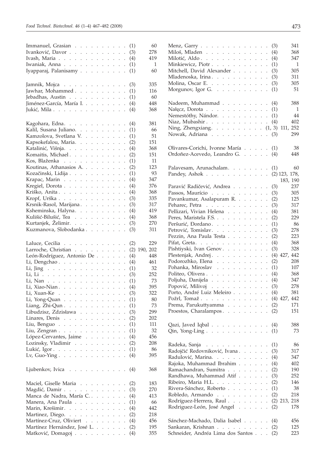| Immanuel, Grasian                                                                                                                                                                                                          | 60<br>(1)                |
|----------------------------------------------------------------------------------------------------------------------------------------------------------------------------------------------------------------------------|--------------------------|
| Ivanković, Davor                                                                                                                                                                                                           | (3)<br>278               |
| Ivash, Maria                                                                                                                                                                                                               | 419<br>(4)               |
| Iwaniak, Anna                                                                                                                                                                                                              | 1<br>(1)                 |
| Iyapparaj, Palanisamy                                                                                                                                                                                                      | 60<br>(1)                |
|                                                                                                                                                                                                                            |                          |
| Jamnik, Mojca                                                                                                                                                                                                              | 335<br>(3)               |
| Jawhar, Mohammed                                                                                                                                                                                                           | 116<br>(1)               |
| Jebadhas, Austin                                                                                                                                                                                                           | 60<br>(1)                |
| Jiménez-García, María I.                                                                                                                                                                                                   | 448<br>(4)               |
| Jukić, Mila                                                                                                                                                                                                                | (4)<br>368               |
| Kagohara, Edna.                                                                                                                                                                                                            | (4)<br>381               |
|                                                                                                                                                                                                                            | (1)<br>66                |
| Kalil, Susana Juliano.                                                                                                                                                                                                     | 51<br>(1)                |
| Kamzolova, Svetlana V.                                                                                                                                                                                                     | 151                      |
| Kapsokefalou, Maria.<br>$\mathcal{L}^{\pm}$<br>$\ddot{\phantom{a}}$                                                                                                                                                        | (2)                      |
| Katalinić, Višnja.<br>$\cdot$                                                                                                                                                                                              | (4)<br>368               |
| Komaitis, Michael.<br>$\cdot$                                                                                                                                                                                              | 151<br>(2)               |
| Kos, Blaženka<br>$\cdot$                                                                                                                                                                                                   | (1)<br>11                |
| Koutinas, Athanasios A.<br>$\cdot$                                                                                                                                                                                         | (2)<br>123               |
| Kozačinski, Lidija<br>$\mathcal{L}^{\pm}$<br>$\mathcal{L}^{\pm}$<br>$\ddot{\phantom{0}}$                                                                                                                                   | 93<br>(1)                |
| Krapac, Marin<br>$\ddot{\phantom{0}}$                                                                                                                                                                                      | 347<br>(4)               |
| Kregiel, Dorota<br>$\cdot$                                                                                                                                                                                                 | (4)<br>376               |
| Kriško, Anita.<br>$\cdot$                                                                                                                                                                                                  | (4)<br>368               |
| Kropf, Urška<br>$\ddot{\phantom{a}}$                                                                                                                                                                                       | (3)<br>335               |
| Krsnik-Rasol, Marijana.<br>$\mathcal{L}^{\pm}$<br>$\mathcal{L}^{\pm}$<br>$\ddot{\phantom{a}}$                                                                                                                              | 317<br>(3)               |
| Ksheminska, Halyna.<br>$\ddot{\phantom{a}}$                                                                                                                                                                                | 419<br>(4)               |
| Kulišić-Bilušić, Tea                                                                                                                                                                                                       | (4)<br>368               |
| Kurtanjek, Želimir.                                                                                                                                                                                                        | 270<br>(3)               |
| Kuzmanova, Slobodanka                                                                                                                                                                                                      | (3)<br>311               |
|                                                                                                                                                                                                                            |                          |
|                                                                                                                                                                                                                            |                          |
|                                                                                                                                                                                                                            | 229<br>(2)               |
| Laluce, Cecilia<br>Larroche, Christian                                                                                                                                                                                     | 190, 202<br>(2)          |
|                                                                                                                                                                                                                            | 448                      |
| León-Rodríguez, Antonio De                                                                                                                                                                                                 | (4)<br>461               |
| Li, Dengchao.                                                                                                                                                                                                              | (4)                      |
| Li, Jing $\ldots \ldots \ldots \ldots$<br>$\ddot{\phantom{a}}$                                                                                                                                                             | 32<br>(1)                |
| Li, Li<br>$\cdot$                                                                                                                                                                                                          | 252<br>(3)               |
| Li, Nan<br>$\mathcal{L}^{\pm}$<br>$\mathcal{L}^{\pm}$<br>$\ddot{\phantom{a}}$                                                                                                                                              | 73<br>(1)                |
| Li, Xiao-Nian.                                                                                                                                                                                                             | 395<br>(4)               |
| Li, Xuan-Ke                                                                                                                                                                                                                | 322<br>(3)               |
| Li, Yong-Quan (1)                                                                                                                                                                                                          | 80                       |
| Liang, Zhi-Qun                                                                                                                                                                                                             | 73<br>(1)                |
| Libudzisz, Zdzisława.<br>$\ddot{\phantom{0}}$<br>$\mathbf{1}^{\prime}$ , $\mathbf{1}^{\prime}$ , $\mathbf{1}^{\prime}$ , $\mathbf{1}^{\prime}$ ,<br>$\mathcal{L}^{\pm}$<br>$\mathcal{L}^{\pm}$<br>$\overline{\phantom{a}}$ | (3)<br>299               |
| Linares, Denis<br>$\mathbf{1}^{\prime}$ , and $\mathbf{1}^{\prime}$ , and $\mathbf{1}^{\prime}$<br>$\ddot{\phantom{a}}$<br>$\ddot{\phantom{0}}$                                                                            | 202<br>(2)               |
| Liu, Benguo                                                                                                                                                                                                                | 111<br>(1)               |
| Liu, Zengran $\ldots$ $\ldots$<br>$\mathbf{1}=\mathbf{1}=\mathbf{1}=\mathbf{1}=\mathbf{1}=\mathbf{1}=\mathbf{1}$<br>$\ddot{\phantom{0}}$                                                                                   | 32<br>(1)                |
| López-Cervantes, Jaime<br>$\ddot{\phantom{0}}$                                                                                                                                                                             | 456<br>(4)               |
| $\mathcal{L}^{\mathcal{L}}$<br>$\ddot{\phantom{a}}$<br>$\ddot{\phantom{a}}$                                                                                                                                                | (2)<br>208               |
| Lozinsky, Vladimir<br>Lukić, Igor.<br>$\ddot{\phantom{a}}$                                                                                                                                                                 | 86<br>(1)                |
| Lv, Guo-Ying $\ldots$ $\ldots$ $\ldots$ $\ldots$ $\ldots$                                                                                                                                                                  | 395<br>(4)               |
|                                                                                                                                                                                                                            |                          |
| Ljubenkov, Ivica<br>$\ddot{\phantom{0}}$                                                                                                                                                                                   | (4)<br>368               |
|                                                                                                                                                                                                                            |                          |
| Maciel, Giselle Maria                                                                                                                                                                                                      | 183<br>(2)               |
| Magdić, Damir<br>$\ddot{\phantom{0}}$                                                                                                                                                                                      | 270<br>(3)               |
| Manca de Nadra, María C<br>$\mathcal{L}^{\text{max}}$<br>$\ddot{\phantom{0}}$                                                                                                                                              | 413<br>(4)               |
| Manera, Ana Paula<br>$\sim$ $\sim$<br>$\ddot{\phantom{0}}$                                                                                                                                                                 | 66<br>(1)                |
| Marin, Krešimir.<br>$\mathbf{r}$<br>$\ddot{\phantom{a}}$                                                                                                                                                                   | 442<br>(4)               |
| Martinez, Diego.<br>$\mathbf{r}$<br>$\ddot{\phantom{0}}$                                                                                                                                                                   | (2)<br>218               |
| Martínez-Cruz, Oliviert<br>$\ddot{\phantom{a}}$                                                                                                                                                                            | 456<br>(4)               |
| Martínez Hernández, José L<br>$\cdot$<br>Matković, Domagoj                                                                                                                                                                 | 195<br>(2)<br>355<br>(4) |

| Menz, Garry $\ldots$ $\ldots$ $\ldots$ $\ldots$ $\ldots$                                                              |                                              |                                                     | (3) | 341             |
|-----------------------------------------------------------------------------------------------------------------------|----------------------------------------------|-----------------------------------------------------|-----|-----------------|
| Miloš, Mladen                                                                                                         |                                              |                                                     | (4) | 368             |
| Milotić, Aldo                                                                                                         |                                              | $\ddot{\phantom{0}}$                                | (4) | 347             |
| Minkiewicz, Piotr                                                                                                     |                                              | $\ddot{\phantom{0}}$                                | (1) | 1               |
| Mitchell, David Alexander                                                                                             |                                              | $\cdot$                                             | (3) | 305             |
| Mladenoska, Irina.                                                                                                    |                                              |                                                     | (3) | 311             |
| Molina, Oscar E.                                                                                                      |                                              |                                                     | (3) | 305             |
| Morgunov, Igor G. $\ldots$                                                                                            |                                              | $\ddot{\phantom{a}}$                                | (1) | 51              |
|                                                                                                                       |                                              |                                                     |     |                 |
| Nadeem, Muhammad                                                                                                      |                                              |                                                     | (4) | 388             |
| Nałęcz, Dorota $\ldots$ $\ldots$ $\ldots$ $\ldots$ $\ldots$                                                           |                                              |                                                     | (1) | 1               |
| Nemestóthy, Nándor.                                                                                                   |                                              | $\mathcal{L}^{\pm}$                                 | (1) | 44              |
| Niaz, Mubashir.                                                                                                       |                                              |                                                     | (4) | 402             |
| Ning, Zhengxiang. $\ldots$ $\ldots$ $\ldots$ $\ldots$ $(1, 3)$                                                        |                                              |                                                     |     | 111, 252        |
| Nowak, Adriana                                                                                                        |                                              |                                                     | (3) | 299             |
|                                                                                                                       |                                              |                                                     |     |                 |
| Olivares-Corichi, Ivonne María                                                                                        |                                              |                                                     | (1) | 38              |
| Ordoñez-Acevedo, Leandro G.                                                                                           |                                              |                                                     | (4) | 448             |
|                                                                                                                       |                                              |                                                     |     |                 |
| Palavesam, Arunachalam.                                                                                               |                                              |                                                     | (1) | 60              |
| Pandey, Ashok                                                                                                         |                                              |                                                     |     | $(2)$ 123, 178, |
|                                                                                                                       |                                              |                                                     |     | 183, 190        |
| Paravić Radičević, Andrea                                                                                             |                                              |                                                     | (3) | 237             |
| Passos, Maurício                                                                                                      |                                              | $\ddot{\phantom{0}}$                                | (3) | 305             |
| Pavankumar, Asalapuram R.                                                                                             |                                              | $\ddot{\phantom{0}}$                                | (2) | 125             |
| Peharec, Petra                                                                                                        |                                              | $\ddot{\phantom{0}}$                                | (3) | 317             |
| Pellizari, Vivian Helena                                                                                              | $\mathbf{r}$                                 | $\mathcal{L}^{\pm}$<br>$\ddot{\phantom{a}}$         | (4) | 381             |
| Peres, Maristela F.S.                                                                                                 | $\mathcal{L}^{\pm}$                          | $\mathcal{L}^{\pm}$<br>$\ddot{\phantom{a}}$         | (2) | 229             |
| Peršurić, Đordano.                                                                                                    | $\ddot{\phantom{0}}$                         | $\ddot{\phantom{0}}$<br>$\ddot{\phantom{0}}$        | (1) | 86              |
| Petrović, Tomislav.                                                                                                   |                                              | $\ddot{\phantom{0}}$                                | (3) | 278             |
| Pezzin, Ana Paula Testa                                                                                               |                                              | $\ddot{\phantom{0}}$                                | (2) | 223             |
| Pifat, Greta.                                                                                                         | $\mathcal{L}^{\pm}$                          | $\mathbf{r}$<br>$\ddot{\phantom{0}}$                | (4) | 368             |
| Pishtiyski, Ivan Genov.                                                                                               | $\mathbf{r}$                                 | $\mathcal{L}^{\pm}$<br>$\ddot{\phantom{a}}$         | (3) | 328             |
| Plestenjak, Andrej.                                                                                                   | $\ddot{\phantom{0}}$                         | $\mathbb{R}^{\mathbb{Z}^2}$<br>$\ddot{\phantom{0}}$ |     | $(4)$ 427, 442  |
| Podorozhko, Elena                                                                                                     |                                              | $\ddot{\phantom{0}}$                                | (2) | 208             |
| Pohanka, Miroslav                                                                                                     |                                              | $\ddot{\phantom{0}}$                                | (1) | 107             |
| Politeo, Olivera<br>$\mathcal{L}^{\text{max}}$                                                                        | $\mathbb{Z}^{\mathbb{Z}^2}$                  | $\mathcal{L}^{\pm}$<br>$\ddot{\phantom{a}}$         | (4) | 368             |
| Poljuha, Danijela                                                                                                     | $\mathcal{L}^{\text{max}}$                   | $\ddot{\phantom{a}}$                                | (4) | 347             |
| Popović, Milivoj                                                                                                      |                                              |                                                     | (3) | 278             |
| Porto, André Luiz Meleiro                                                                                             |                                              |                                                     | (4) | 381             |
| Požrl, Tomaž. $\ldots$ $\ldots$ $\ldots$                                                                              |                                              | $\mathcal{L}_{\mathrm{max}}$<br>¥,                  |     | $(4)$ 427, 442  |
| Prema, Parukuttyamma (2)                                                                                              |                                              |                                                     |     | 171             |
| Proestos, Charalampos<br>$\ddot{\phantom{a}}$<br>$\ddot{\phantom{0}}$<br>$\ddot{\phantom{a}}$<br>$\ddot{\phantom{a}}$ | $\ddot{\phantom{a}}$                         | $\mathcal{L}^{\mathcal{L}}$<br>$\ddot{\phantom{0}}$ | (2) | 151             |
|                                                                                                                       |                                              |                                                     |     |                 |
| Qazi, Javed Iqbal (4)                                                                                                 |                                              |                                                     |     | 388             |
| Qin, Yong-Ling $\ldots \ldots \ldots \ldots$                                                                          |                                              | $\ddot{\phantom{a}}$                                | (1) | 73              |
|                                                                                                                       |                                              |                                                     |     |                 |
| Radeka, Sanja                                                                                                         |                                              | $\ddot{\phantom{0}}$                                | (1) | 86              |
| Radojčić Redovniković, Ivana                                                                                          | $\mathcal{L}^{\pm}$                          | ¥.<br>$\ddot{\phantom{0}}$                          | (3) | 317             |
| Radulović, Marina.<br>$\ddot{\phantom{0}}$                                                                            | $\ddot{\phantom{a}}$                         |                                                     | (4) | 347             |
| Rajoka, Muhammad Ibrahim.<br>$\ddot{\phantom{a}}$<br>$\ddot{\phantom{a}}$                                             |                                              |                                                     | (4) | 402             |
| Ramachandran, Sumitra<br>$\ddot{\phantom{0}}$<br>$\mathbf{r}$                                                         | $\ddot{\phantom{a}}$<br>$\ddot{\phantom{a}}$ | $\ddot{\phantom{a}}$                                | (2) | 190             |
| Randhawa, Muhammad Atif.<br>$\ddot{\phantom{0}}$<br>$\ddot{\phantom{0}}$                                              | $\ddot{\phantom{a}}$<br>$\ddot{\phantom{a}}$ | $\ddot{\phantom{0}}$                                | (3) | 252             |
| Ribeiro, Maria H.L.<br>$\ddot{\phantom{0}}$<br>$\ddot{\phantom{0}}$                                                   |                                              | ¥.<br>$\ddot{\phantom{0}}$                          | (2) | 146             |
| Rivera-Sánchez, Roberto<br>$\ddot{\phantom{a}}$<br>$\ddot{\phantom{a}}$                                               | $\ddot{\phantom{a}}$                         |                                                     | (1) | 38              |
| Robledo, Armando<br>$\ddot{\phantom{0}}$<br>$\ddot{\phantom{a}}$                                                      | $\ddot{\phantom{a}}$                         | $\mathbf{r}$<br>$\ddot{\phantom{a}}$                | (2) | 218             |
| Rodríguez-Herrera, Raul                                                                                               | $\overline{a}$                               | $\ddot{\phantom{a}}$<br>$\mathbf{r}$                |     | $(2)$ 213, 218  |
| Rodriguez-León, José Angel                                                                                            |                                              | $\ddot{\phantom{0}}$                                | (2) | 178             |
|                                                                                                                       |                                              |                                                     |     |                 |
| Sánchez-Machado, Dalia Isabel                                                                                         |                                              |                                                     | (4) | 456             |
| Sankaran, Krishnan                                                                                                    |                                              | $\ddot{\phantom{0}}$                                | (2) | 125             |
| Schneider, Andréa Lima dos Santos                                                                                     |                                              |                                                     | (2) | 223             |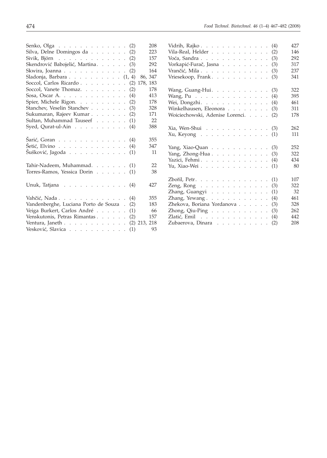| 208<br>Senko, Olga (2)                                                 |  |
|------------------------------------------------------------------------|--|
| Silva, Delne Domingos da (2)<br>223                                    |  |
| Sivik, Björn (2)<br>157                                                |  |
| Skendrović Babojelić, Martina. (3)<br>292                              |  |
| 164<br>Skwira, Joanna<br>(2)                                           |  |
| 86, 347<br>Sladonja, Barbara $(1, 4)$                                  |  |
| Soccol, Carlos Ricardo<br>178, 183<br>(2)                              |  |
| 178<br>Soccol, Vanete Thomaz.<br>(2)                                   |  |
| Sosa, Oscar A. $\ldots$<br>413<br>(4)                                  |  |
| Spier, Michele Rigon.<br>178<br>(2)                                    |  |
| Stanchev, Veselin Stanchev<br>(3)<br>328                               |  |
| Sukumaran, Rajeev Kumar<br>171<br>(2)                                  |  |
| Sultan, Muhammad Tauseef<br>22<br>(1)                                  |  |
| Syed, Qurat-ul-Ain<br>388<br>(4)                                       |  |
|                                                                        |  |
| Šarić, Goran (4)<br>355                                                |  |
| Šetić, Elvino<br>347<br>(4)                                            |  |
| Šušković, Jagoda).<br>11<br>(1)                                        |  |
|                                                                        |  |
| Tahir-Nadeem, Muhammad. (1)<br>22                                      |  |
| Torres-Ramos, Yessica Dorin<br>38<br>(1)                               |  |
|                                                                        |  |
| 427                                                                    |  |
| Unuk, Tatjana $\ldots$ $\ldots$ $\ldots$ $\ldots$ $\ldots$ (4)         |  |
| 355                                                                    |  |
| Vahčić, Nada $\ldots$ $\ldots$ $\ldots$ $\ldots$ $\ldots$ $\ldots$ (4) |  |
| Vandenberghe, Luciana Porto de Souza.<br>183<br>(2)                    |  |
| Veiga Burkert, Carlos André<br>66<br>(1)                               |  |
| Venskutonis, Petras Rimantas<br>157<br>(2)                             |  |
| Ventura, Janeth<br>$(2)$ 213, 218                                      |  |
| Vesković, Slavica<br>93<br>(1)                                         |  |

| Vidrih, Rajko                                                             |  |  |  |  |  | (4) | 427 |
|---------------------------------------------------------------------------|--|--|--|--|--|-----|-----|
| Vila-Real, Helder                                                         |  |  |  |  |  | (2) | 146 |
| Voća, Sandra                                                              |  |  |  |  |  | (3) | 292 |
| Vorkapić-Furač, Jasna                                                     |  |  |  |  |  | (3) | 317 |
| Vrančić, Mila                                                             |  |  |  |  |  | (3) | 237 |
| Vriesekoop, Frank                                                         |  |  |  |  |  | (3) | 341 |
| Wang, Guang-Hui.                                                          |  |  |  |  |  | (3) | 322 |
| Wang, Pu. $\ldots$ , $\ldots$ , $\ldots$ , $\ldots$                       |  |  |  |  |  | (4) | 395 |
| Wei, Dongzhi.                                                             |  |  |  |  |  | (4) | 461 |
| Winkelhausen, Eleonora                                                    |  |  |  |  |  | (3) | 311 |
| Woiciechowski, Adenise Lorenci.                                           |  |  |  |  |  | (2) | 178 |
| $Xia,$ Wen-Shui $\cdots$ $\cdots$ $\cdots$ $\cdots$ $\cdots$ $\cdots$ (3) |  |  |  |  |  |     | 262 |
| $Xu$ , Keyong                                                             |  |  |  |  |  | (1) | 111 |
| Yang, Xiao-Quan (3)                                                       |  |  |  |  |  |     | 252 |
| Yang, Zhong-Hua.                                                          |  |  |  |  |  | (3) | 322 |
| Yazici, Fehmi.                                                            |  |  |  |  |  | (4) | 434 |
| Yu, Xiao-Wei                                                              |  |  |  |  |  | (1) | 80  |
| Zbořil, Petr.                                                             |  |  |  |  |  | (1) | 107 |
| Zeng, Rong $\ldots$ $\ldots$ $\ldots$ $\ldots$ $\ldots$                   |  |  |  |  |  | (3) | 322 |
| Zhang, Guangyi                                                            |  |  |  |  |  | (1) | 32  |
| Zhang, Yewang.                                                            |  |  |  |  |  | (4) | 461 |
| Zhekova, Boriana Yordanova                                                |  |  |  |  |  | (3) | 328 |
| Zhong, Qiu-Ping $\ldots$ , $\ldots$ , $\ldots$                            |  |  |  |  |  | (3) | 262 |
| Zlatić, Emil                                                              |  |  |  |  |  | (4) | 442 |
| Zubaerova, Dinara                                                         |  |  |  |  |  | (2) | 208 |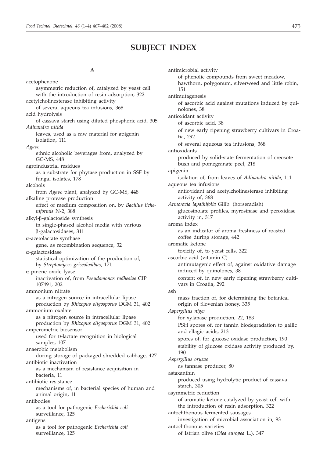# **SUBJECT INDEX**

# **A**

acetophenone asymmetric reduction of, catalyzed by yeast cell with the introduction of resin adsorption, 322 acetylcholinesterase inhibiting activity of several aqueous tea infusions, 368 acid hydrolysis of cassava starch using diluted phosphoric acid, 305 *Adinandra nitida* leaves, used as a raw material for apigenin isolation, 111 *Agave* ethnic alcoholic beverages from, analyzed by GC-MS, 448 agroindustrial residues as a substrate for phytase production in SSF by fungal isolates, 178 alcohols from *Agave* plant, analyzed by GC-MS, 448 alkaline protease production effect of medium composition on, by *Bacillus licheniformis* N-2, 388  $alkyl-\beta$ -galactoside synthesis in single-phased alcohol media with various b-galactosidases, 311  $\alpha$ -acetolactate synthase gene, as recombination sequence, 32 a-galactosidase statistical optimization of the production of, by *Streptomyces griseoloalbus*, 171 a-pinene oxide lyase inactivation of, from *Pseudomonas rodhesiae* CIP 107491, 202 ammonium nitrate as a nitrogen source in intracellular lipase production by *Rhizopus oligosporus* DGM 31, 402 ammonium oxalate as a nitrogen source in intracellular lipase production by *Rhizopus oligosporus* DGM 31, 402 amperometric biosensor used for D-lactate recognition in biological samples, 107 anaerobic metabolism during storage of packaged shredded cabbage, 427 antibiotic inactivation as a mechanism of resistance acquisition in bacteria, 11 antibiotic resistance mechanisms of, in bacterial species of human and animal origin, 11 antibodies as a tool for pathogenic *Escherichia coli* surveillance, 125 antigens as a tool for pathogenic *Escherichia coli* surveillance, 125

antimicrobial activity of phenolic compounds from sweet meadow, hawthorn, polygonum, silverweed and little robin, 151 antimutagenesis of ascorbic acid against mutations induced by quinolones, 38 antioxidant activity of ascorbic acid, 38 of new early ripening strawberry cultivars in Croatia, 292 of several aqueous tea infusions, 368 antioxidants produced by solid-state fermentation of creosote bush and pomegranate peel, 218 apigenin isolation of, from leaves of *Adinandra nitida*, 111 aqueous tea infusions antioxidant and acetylcholinesterase inhibiting activity of, 368 *Armoracia lapathifolia* Gilib. (horseradish) glucosinolate profiles, myrosinase and peroxidase activity in, 317 aroma index as an indicator of aroma freshness of roasted coffee during storage, 442 aromatic ketone toxicity of, to yeast cells, 322 ascorbic acid (vitamin C) antimutagenic effect of, against oxidative damage induced by quinolones, 38 content of, in new early ripening strawberry cultivars in Croatia, 292 ash mass fraction of, for determining the botanical origin of Slovenian honey, 335 *Aspergillus niger* for xylanase production, 22, 183 PSH spores of, for tannin biodegradation to gallic and ellagic acids, 213 spores of, for glucose oxidase production, 190 stability of glucose oxidase activity produced by, 190 *Aspergillus oryzae* as tannase producer, 80 astaxanthin produced using hydrolytic product of cassava starch, 305 asymmetric reduction of aromatic ketone catalyzed by yeast cell with the introduction of resin adsorption, 322 autochthonous fermented sausages investigation of microbial association in, 93 autochthonous varieties of Istrian olive (*Olea europea* L.), 347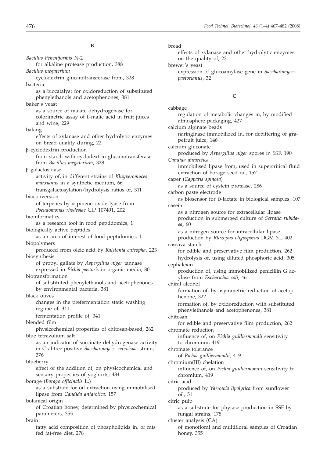*Bacillus licheniformis* N-2 for alkaline protease production, 388 *Bacillus megaterium* cyclodextrin glucanotransferase from, 328 bacteria as a biocatalyst for oxidoreduction of substituted phenylethanols and acetophenones, 381 baker's yeast as a source of malate dehydrogenase for colorimetric assay of L-malic acid in fruit juices and wine, 229 baking effects of xylanase and other hydrolytic enzymes on bread quality during, 22 b-cyclodextrin production from starch with cyclodextrin glucanotransferase from *Bacillus megaterium*, 328 b-galactosidase activity of, in different strains of *Kluyveromyces marxianus* in a synthetic medium, 66 transgalactosylation/hydrolysis ratios of, 311 bioconversion of terpenes by  $\alpha$ -pinene oxide lyase from *Pseudomonas rhodesiae* CIP 107491, 202 bioinformatics as a research tool in food peptidomics, 1 biologically active peptides as an area of interest of food peptidomics, 1 biopolymers produced from oleic acid by *Ralstonia eutropha*, 223 biosynthesis of propyl gallate by *Aspergillus niger* tannase expressed in *Pichia pastoris* in organic media, 80 biotransformation of substituted phenylethanols and acetophenones by environmental bacteria, 381 black olives changes in the prefermentation static washing regime of, 341 fermentation profile of, 341 blended film physicochemical properties of chitosan-based, 262 blue tetrazolium salt as an indicator of succinate dehydrogenase activity in Crabtree-positive *Saccharomyces cerevisiae* strain, 376 blueberry effect of the addition of, on physicochemical and sensory properties of yoghurts, 434 borage (*Borago officinalis* L.) as a substrate for oil extraction using immobilised lipase from *Candida antarctica*, 157 botanical origin of Croatian honey, determined by physicochemical parameters, 355 brain fatty acid composition of phospholipids in, of rats fed fat-free diet, 278

bread

effects of xylanase and other hydrolytic enzymes on the quality of, 22

brewer's yeast

expression of glucoamylase gene in *Saccharomyces pastorianus*, 32

## **C**

cabbage regulation of metabolic changes in, by modified atmosphere packaging, 427 calcium alginate beads naringinase immobilized in, for debittering of grapefruit juice, 146 calcium gluconate produced by *Aspergillus niger* spores in SSF, 190 *Candida antarctica* immobilised lipase from, used in supercritical fluid extraction of borage seed oil, 157 caper (*Capparis spinosa*) as a source of cystein protease, 286 carbon paste electrode as biosensor for D-lactate in biological samples, 107 casein as a nitrogen source for extracellular lipase production in submerged culture of *Serratia rubidaea*, 60 as a nitrogen source for intracellular lipase production by *Rhizopus oligosporus* DGM 31, 402 cassava starch for edible and preservative film production, 262 hydrolysis of, using diluted phosphoric acid, 305 cephalexin production of, using immobilized penicillin G acylase from *Escherichia coli*, 461 chiral alcohol formation of, by asymmetric reduction of acetophenone, 322 formation of, by oxidoreduction with substituted phenylethanols and acetophenones, 381 chitosan for edible and preservative film production, 262 chromate reduction influence of, on *Pichia guilliermondii* sensitivity to chromium, 419 chromate tolerance of *Pichia guilliermondii*, 419 chromium(III) chelation influence of, on *Pichia guilliermondii* sensitivity to chromium, 419 citric acid produced by *Yarrowia lipolytica* from sunflower oil, 51 citric pulp as a substrate for phytase production in SSF by fungal strains, 178 cluster analysis (CA) of monofloral and multifloral samples of Croatian honey, 355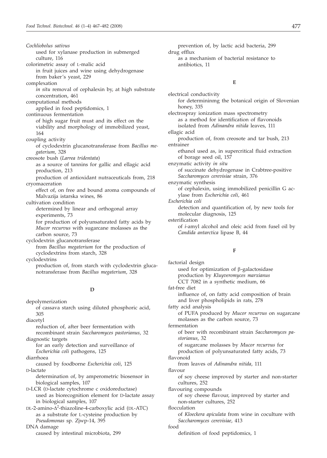*Cochliobolus sativus* used for xylanase production in submerged culture, 116 colorimetric assay of L-malic acid in fruit juices and wine using dehydrogenase from baker's yeast, 229 complexation *in situ* removal of cephalexin by, at high substrate concentration, 461 computational methods applied in food peptidomics, 1 continuous fermentation of high sugar fruit must and its effect on the viability and morphology of immobilized yeast, 164 coupling activity of cyclodextrin glucanotransferase from *Bacillus megaterium*, 328 creosote bush (*Larrea tridentata*) as a source of tannins for gallic and ellagic acid production, 213 production of antioxidant nutraceuticals from, 218 cryomaceration effect of, on free and bound aroma compounds of Malvazija istarska wines, 86 cultivation condition determined by linear and orthogonal array experiments, 73 for production of polyunsaturated fatty acids by *Mucor recurvus* with sugarcane molasses as the carbon source, 73 cyclodextrin glucanotransferase from *Bacillus megaterium* for the production of cyclodextrins from starch, 328 cyclodextrins production of, from starch with cyclodextrin gluca-

## **D**

notransferase from *Bacillus megaterium*, 328

#### depolymerization

#### of cassava starch using diluted phosphoric acid, 305

diacetyl reduction of, after beer fermentation with

recombinant strain *Saccharomyces pastorianus*, 32 diagnostic targets

for an early detection and surveillance of *Escherichia coli* pathogens, 125

diarrhoea

caused by foodborne *Escherichia coli*, 125 D-lactate

determination of, by amperometric biosensor in biological samples, 107

D-LCR (D-lactate cytochrome c oxidoreductase) used as biorecognition element for D-lactate assay in biological samples, 107

 $DL-2$ -amino- $\Delta^2$ -thiazoline-4-carboxylic acid (DL-ATC) as a substrate for L-cysteine production by *Pseudomonas* sp. Zjwp-14, 395

DNA damage

caused by intestinal microbiota, 299

prevention of, by lactic acid bacteria, 299 drug efflux as a mechanism of bacterial resistance to antibiotics, 11

#### **E**

electrical conductivity for determininmg the botanical origin of Slovenian honey, 335 electrospray ionization mass spectrometry as a method for identification of flavonoids isolated from *Adinandra nitida* leaves, 111 ellagic acid production of, from creosote and tar bush, 213 entrainer ethanol used as, in supercritical fluid extraction of borage seed oil, 157 enzymatic activity *in situ* of succinate dehydrogenase in Crabtree-positive *Saccharomyces cerevisiae* strain, 376 enzymatic synthesis of cephalexin, using immobilized penicillin G acylase from *Escherichia coli*, 461 *Escherichia coli* detection and quantification of, by new tools for molecular diagnosis, 125 esterification of *i*-amyl alcohol and oleic acid from fusel oil by *Candida antarctica* lipase B, 44

# **F**

factorial design used for optimization of  $\beta$ -galactosidase production by *Kluyveromyces marxianus* CCT 7082 in a synthetic medium, 66 fat-free diet influence of, on fatty acid composition of brain and liver phospholipids in rats, 278 fatty acid analysis of PUFA produced by *Mucor recurvus* on sugarcane molasses as the carbon source, 73 fermentation of beer with recombinant strain *Saccharomyces pastorianus*, 32 of sugarcane molasses by *Mucor recurvus* for production of polyunsaturated fatty acids, 73 flavonoid from leaves of *Adinandra nitida*, 111 flavour of soy cheese improved by starter and non-starter cultures, 252 flavouring compounds of soy cheese flavour, improved by starter and non-starter cultures, 252 flocculation of *Kloeckera apiculata* from wine in coculture with *Saccharomyces cerevisiae*, 413 food definition of food peptidomics, 1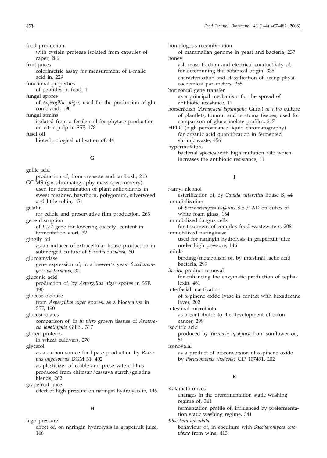food production with cystein protease isolated from capsules of caper, 286

fruit juices colorimetric assay for measurement of L-malic acid in, 229

functional properties

of peptides in food, 1

fungal spores

of *Aspergillus niger*, used for the production of gluconic acid, 190

fungal strains

isolated from a fertile soil for phytase production on citric pulp in SSF, 178

fusel oil

biotechnological utilisation of, 44

#### **G**

gallic acid

production of, from creosote and tar bush, 213 GC-MS (gas chromatography-mass spectrometry) used for determination of plant antioxidants in sweet meadow, hawthorn, polygonum, silverweed and little robin, 151

gelatin

- for edible and preservative film production, 263 gene disruption
	- of *ILV2* gene for lowering diacetyl content in fermentation wort, 32

gingily oil

as an inducer of extracellular lipase production in submerged culture of *Serratia rubidaea*, 60

glucoamylase

gene expression of, in a brewer's yeast *Saccharomyces pastorianus*, 32

gluconic acid

- production of, by *Aspergillus niger* spores in SSF, 190
- glucose oxidase

from *Aspergillus niger* spores, as a biocatalyst in SSF, 190

glucosinolates

comparison of, in *in vitro* grown tissues of *Armoracia lapathifolia* Gilib., 317

gluten proteins

in wheat cultivars, 270

glycerol

as a carbon source for lipase production by *Rhizopus oligosporus* DGM 31, 402 as plasticizer of edible and preservative films

produced from chitosan/cassava starch/gelatine blends, 262

grapefruit juice

effect of high pressure on naringin hydrolysis in, 146

#### **H**

high pressure effect of, on naringin hydrolysis in grapefruit juice, 146

homologous recombination of mammalian genome in yeast and bacteria, 237 honey ash mass fraction and electrical conductivity of, for determining the botanical origin, 335 characterisation and classification of, using physicochemical parameters, 355 horizontal gene transfer as a principal mechanism for the spread of antibiotic resistance, 11 horseradish (*Armoracia lapathifolia* Gilib.) *in vitro* culture of plantlets, tumour and teratoma tissues, used for comparison of glucosinolate profiles, 317 HPLC (high performance liquid chromatography) for organic acid quantification in fermented shrimp waste, 456

hypermutators

bacterial species with high mutation rate which increases the antibiotic resistance, 11

## **I**

*i*-amyl alcohol esterification of, by *Canida antarctica* lipase B, 44 immobilization of *Saccharomyces bayanus* S.o./1AD on cubes of white foam glass, 164 immobilized fungus cells for treatment of complex food wastewaters, 208 immobilized naringinase used for naringin hydrolysis in grapefruit juice under high pressure, 146 indole binding/metabolism of, by intestinal lactic acid bacteria, 299 *in situ* product removal for enhancing the enzymatic production of cephalexin, 461 interfacial inactivation of a-pinene oxide lyase in contact with hexadecane layer, 202 intestinal microbiota as a contributor to the development of colon cancer, 299 isocitric acid produced by *Yarrowia lipolytica* from sunflower oil, 51 isonovalal as a product of bioconversion of  $\alpha$ -pinene oxide by *Pseudomonas rhodesiae* CIP 107491, 202

## **K**

Kalamata olives changes in the prefermentation static washing regime of, 341 fermentation profile of, influenced by prefermentation static washing regime, 341 *Kloeckera apiculata*

behaviour of, in coculture with *Saccharomyces cerevisiae* from wine, 413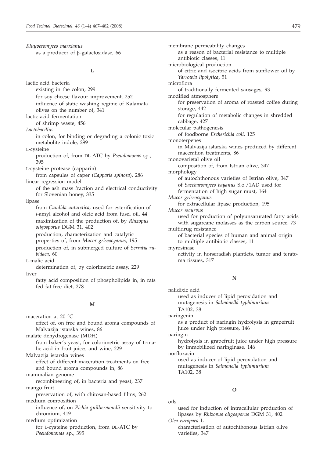*Kluyveromyces marxianus* as a producer of  $\beta$ -galactosidase, 66

#### **L**

lactic acid bacteria existing in the colon, 299 for soy cheese flavour improvement, 252 influence of static washing regime of Kalamata olives on the number of, 341 lactic acid fermentation of shrimp waste, 456 *Lactobacillus* in colon, for binding or degrading a colonic toxic metabolite indole, 299 L-cysteine production of, from DL-ATC by *Pseudomonas* sp., 395 L-cysteine protease (capparin) from capsules of caper (*Capparis spinosa*), 286 linear regression model of the ash mass fraction and electrical conductivity for Slovenian honey, 335 lipase from *Candida antarctica,* used for esterification of *i*-amyl alcohol and oleic acid from fusel oil, 44 maximization of the production of, by *Rhizopus oligosporus* DGM 31, 402 production, characterization and catalytic properties of, from *Mucor griseocyanus*, 195 production of, in submerged culture of *Serratia rubidaea*, 60 L-malic acid determination of, by colorimetric assay, 229 liver fatty acid composition of phospholipids in, in rats fed fat-free diet, 278 **M** maceration at 20 °C effect of, on free and bound aroma compounds of Malvazija istarska wines, 86 malate dehydrogenase (MDH) from baker's yeast, for colorimetric assay of L-malic acid in fruit juices and wine, 229 Malvazija istarska wines effect of different maceration treatments on free and bound aroma compounds in, 86 mammalian genome recombineering of, in bacteria and yeast, 237 mango fruit

preservation of, with chitosan-based films, 262 medium composition

influence of, on *Pichia guilliermondii* sensitivity to chromium, 419

medium optimization for L-cysteine production, from DL-ATC by *Pseudomonas* sp., 395

membrane permeability changes as a reason of bacterial resistance to multiple antibiotic classes, 11 microbiological production of citric and isocitric acids from sunflower oil by *Yarrowia lipolytica*, 51 microflora of traditionally fermented sausages, 93 modified atmosphere for preservation of aroma of roasted coffee during storage, 442 for regulation of metabolic changes in shredded cabbage, 427 molecular pathogenesis of foodborne *Escherichia coli*, 125 monoterpenes in Malvazija istarska wines produced by different maceration treatments, 86 monovarietal olive oil composition of, from Istrian olive, 347 morphology of autochthonous varieties of Istrian olive, 347 of *Saccharomyces bayanus* S.o./1AD used for fermentation of high sugar must, 164 *Mucor griseocyanus* for extracellular lipase production, 195 *Mucor recurvus* used for production of polyunsaturated fatty acids with sugarcane molasses as the carbon source, 73 multidrug resistance of bacterial species of human and animal origin to multiple antibiotic classes, 11 myrosinase activity in horseradish plantlets, tumor and teratoma tissues, 317

#### **N**

nalidixic acid used as inducer of lipid peroxidation and mutagenesis in *Salmonella typhimurium* TA102, 38 naringenin

as a product of naringin hydrolysis in grapefruit juice under high pressure, 146

naringin

hydrolysis in grapefruit juice under high pressure by immobilized naringinase, 146

norfloxacin

used as inducer of lipid peroxidation and mutagenesis in *Salmonella typhimurium* TA102, 38

#### **O**

oils

used for induction of intracellular production of lipases by *Rhizopus oligosporus* DGM 31, 402

*Olea europaea* L. characterisation of autochthonous Istrian olive varieties, 347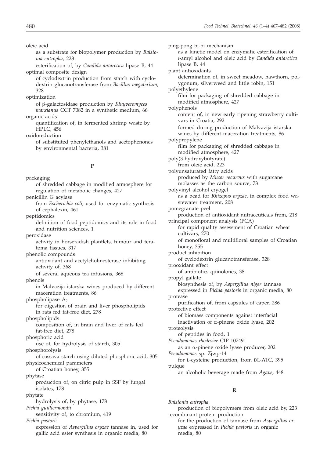oleic acid

- as a substrate for biopolymer production by *Ralstonia eutropha*, 223
- esterification of, by *Candida antarctica* lipase B, 44 optimal composite design
	- of cyclodextrin production from starch with cyclodextrin glucanotransferase from *Bacillus megaterium*, 328
- optimization
- of b-galactosidase production by *Kluyveromyces marxianus* CCT 7082 in a synthetic medium, 66 organic acids
- quantification of, in fermented shrimp waste by HPLC, 456
- oxidoreduction
	- of substituted phenylethanols and acetophenones by environmental bacteria, 381

## **P**

packaging of shredded cabbage in modified atmosphere for

regulation of metabolic changes, 427 penicillin G acylase from *Escherichia coli*, used for enzymatic synthesis of cephalexin, 461 peptidomics definition of food peptidomics and its role in food and nutrition sciences, 1 peroxidase activity in horseradish plantlets, tumour and teratoma tissues, 317 phenolic compounds antioxidant and acetylcholinesterase inhibiting activity of, 368 of several aqueous tea infusions, 368 phenols in Malvazija istarska wines produced by different maceration treatments, 86 phospholipase A<sub>2</sub> for digestion of brain and liver phospholipids in rats fed fat-free diet, 278 phospholipids composition of, in brain and liver of rats fed fat-free diet, 278 phosphoric acid use of, for hydrolysis of starch, 305 phosphorolysis of cassava starch using diluted phosphoric acid, 305 physicochemical parameters of Croatian honey, 355 phytase production of, on citric pulp in SSF by fungal isolates, 178 phytate hydrolysis of, by phytase, 178 *Pichia guilliermondii* sensitivity of, to chromium, 419 *Pichia pastoris* expression of *Aspergillus oryzae* tannase in, used for gallic acid ester synthesis in organic media, 80

ping-pong bi-bi mechanism as a kinetic model on enzymatic esterification of *i*-amyl alcohol and oleic acid by *Candida antarctica* lipase B, 44 plant antioxidants determination of, in sweet meadow, hawthorn, polygonum, silverweed and little robin, 151 polyethylene film for packaging of shredded cabbage in modified atmosphere, 427 polyphenols content of, in new early ripening strawberry cultivars in Croatia, 292 formed during production of Malvazija istarska wines by different maceration treatments, 86 polypropylene film for packaging of shredded cabbage in modified atmosphere, 427 poly(3-hydroxybutyrate) from oleic acid, 223 polyunsaturated fatty acids produced by *Mucor recurvus* with sugarcane molasses as the carbon source, 73 polyvinyl alcohol cryogel as a bead for *Rhizopus oryzae*, in complex food wastewater treatment, 208 pomegranate peel production of antioxidant nutraceuticals from, 218 principal component analysis (PCA) for rapid quality assessment of Croatian wheat cultivars, 270 of monofloral and multifloral samples of Croatian honey, 355 product inhibition of cyclodextrin glucanotransferase, 328 prooxidant effect of antibiotics quinolones, 38 propyl gallate biosynthesis of, by *Aspergillus niger* tannase expressed in *Pichia pastoris* in organic media, 80 protease purification of, from capsules of caper, 286 protective effect of biomass components against interfacial inactivation of  $\alpha$ -pinene oxide lyase, 202 proteolysis of peptides in food, 1 *Pseudomonas rhodesiae* CIP 107491 as an a-pinene oxide lyase producer, 202 *Pseudomonas* sp. Zjwp-14 for L-cysteine production, from DL-ATC, 395 pulque an alcoholic beverage made from *Agave*, 448

# **R**

*Ralstonia eutropha* production of biopolymers from oleic acid by, 223 recombinant protein production for the production of tannase from *Aspergillus oryzae* expressed in *Pichia pastoris* in organic media, 80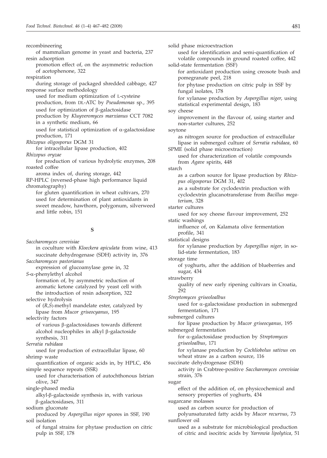recombineering of mammalian genome in yeast and bacteria, 237 resin adsorption promotion effect of, on the asymmetric reduction of acetophenone, 322 respiration during storage of packaged shredded cabbage, 427 response surface methodology used for medium optimization of L-cysteine production, from DL-ATC by *Pseudomonas* sp., 395 used for optimization of  $\beta$ -galactosidase production by *Kluyveromyces marxianus* CCT 7082 in a synthetic medium, 66 used for statistical optimization of  $\alpha$ -galactosidase production, 171 *Rhizopus oligosporus* DGM 31 for intracellular lipase production, 402 *Rhizopus oryzae* for production of various hydrolytic enzymes, 208 roasted coffee aroma index of, during storage, 442 RP-HPLC (reversed-phase high performance liquid chromatography) for gluten quantification in wheat cultivars, 270 used for determination of plant antioxidants in sweet meadow, hawthorn, polygonum, silverweed and little robin, 151

#### **S**

*Saccharomyces cerevisiae* in coculture with *Kloeckera apiculata* from wine, 413 succinate dehydrogenase (SDH) activity in, 376 *Saccharomyces pastorianus* expression of glucoamylase gene in, 32 *<sup>S</sup>*-a-phenylethyl alcohol formation of, by asymmetric reduction of aromatic ketone catalyzed by yeast cell with the introduction of resin adsorption, 322 selective hydrolysis of (*R,S*)-methyl mandelate ester, catalyzed by lipase from *Mucor griseocyanus*, 195 selectivity factors of various b-galactosidases towards different alcohol nucleophiles in alkyl β-galactoside synthesis, 311 *Serratia rubidaea* used for production of extracellular lipase, 60 shrimp waste quantification of organic acids in, by HPLC, 456 simple sequence repeats (SSR) used for characterisation of autochthonous Istrian olive, 347 single-phased media alkyl-b-galactoside synthesis in, with various b-galactosidases, 311 sodium gluconate produced by *Aspergillus niger* spores in SSF, 190 soil isolation of fungal strains for phytase production on citric pulp in SSF, 178

solid phase microextraction used for identification and semi-quantification of volatile compounds in ground roasted coffee, 442 solid-state fermentation (SSF) for antioxidant production using creosote bush and pomegranate peel, 218 for phytase production on citric pulp in SSF by fungal isolates, 178 for xylanase production by *Aspergillus niger*, using statistical experimental design, 183 soy cheese improvement in the flavour of, using starter and non-starter cultures, 252 soytone as nitrogen source for production of extracellular lipase in submerged culture of *Serratia rubidaea*, 60 SPME (solid phase microextraction) used for characterization of volatile compounds from *Agave* spirits, 448 starch as a carbon source for lipase production by *Rhizopus oligosporus* DGM 31, 402 as a substrate for cyclodextrin production with cyclodextrin glucanotransferase from *Bacillus megaterium*, 328 starter cultures used for soy cheese flavour improvement, 252 static washings influence of, on Kalamata olive fermentation profile, 341 statistical designs for xylanase production by *Aspergillus niger*, in solid-state fermentation, 183 storage time of yoghurts, after the addition of blueberries and sugar, 434 strawberry quality of new early ripening cultivars in Croatia, 292 *Streptomyces griseoloalbus* used for a-galactosidase production in submerged fermentation, 171 submerged cultures for lipase production by *Mucor griseocyanus*, 195 submerged fermentation for a-galactosidase production by *Streptomyces griseoloalbus*, 171 for xylanase production by *Cochliobolus sativus* on wheat straw as a carbon source, 116 succinate dehydrogenase (SDH) activity in Crabtree-positive *Saccharomyces cerevisiae* strain, 376 sugar effect of the addition of, on physicochemical and sensory properties of yoghurts, 434 sugarcane molasses used as carbon source for production of polyunsaturated fatty acids by *Mucor recurvus*, 73 sunflower oil used as a substrate for microbiological production of citric and isocitric acids by *Yarrowia lipolytica*, 51